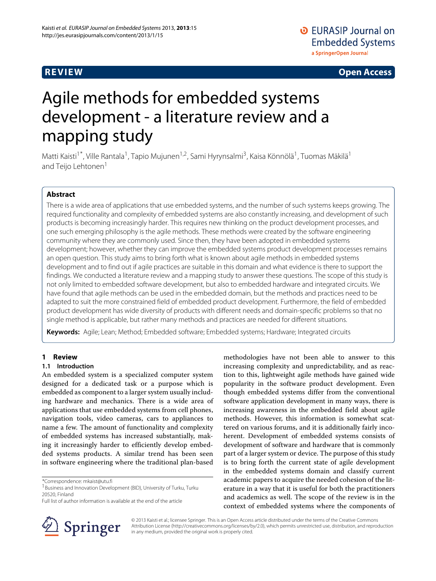**REVIEW Open Access**

# Agile methods for embedded systems development - a literature review and a mapping study

Matti Kaisti<sup>1\*</sup>, Ville Rantala<sup>1</sup>, Tapio Mujunen<sup>1,2</sup>, Sami Hyrynsalmi<sup>3</sup>, Kaisa Könnölä<sup>1</sup>, Tuomas Mäkilä<sup>1</sup> and Teijo Lehtonen<sup>1</sup>

# **Abstract**

There is a wide area of applications that use embedded systems, and the number of such systems keeps growing. The required functionality and complexity of embedded systems are also constantly increasing, and development of such products is becoming increasingly harder. This requires new thinking on the product development processes, and one such emerging philosophy is the agile methods. These methods were created by the software engineering community where they are commonly used. Since then, they have been adopted in embedded systems development; however, whether they can improve the embedded systems product development processes remains an open question. This study aims to bring forth what is known about agile methods in embedded systems development and to find out if agile practices are suitable in this domain and what evidence is there to support the findings. We conducted a literature review and a mapping study to answer these questions. The scope of this study is not only limited to embedded software development, but also to embedded hardware and integrated circuits. We have found that agile methods can be used in the embedded domain, but the methods and practices need to be adapted to suit the more constrained field of embedded product development. Furthermore, the field of embedded product development has wide diversity of products with different needs and domain-specific problems so that no single method is applicable, but rather many methods and practices are needed for different situations.

**Keywords:** Agile; Lean; Method; Embedded software; Embedded systems; Hardware; Integrated circuits

#### **1 Review**

#### **1.1 Introduction**

An embedded system is a specialized computer system designed for a dedicated task or a purpose which is embedded as component to a larger system usually including hardware and mechanics. There is a wide area of applications that use embedded systems from cell phones, navigation tools, video cameras, cars to appliances to name a few. The amount of functionality and complexity of embedded systems has increased substantially, making it increasingly harder to efficiently develop embedded systems products. A similar trend has been seen in software engineering where the traditional plan-based

\*Correspondence: mkaist@utu.fi

methodologies have not been able to answer to this increasing complexity and unpredictability, and as reaction to this, lightweight agile methods have gained wide popularity in the software product development. Even though embedded systems differ from the conventional software application development in many ways, there is increasing awareness in the embedded field about agile methods. However, this information is somewhat scattered on various forums, and it is additionally fairly incoherent. Development of embedded systems consists of development of software and hardware that is commonly part of a larger system or device. The purpose of this study is to bring forth the current state of agile development in the embedded systems domain and classify current academic papers to acquire the needed cohesion of the literature in a way that it is useful for both the practitioners and academics as well. The scope of the review is in the context of embedded systems where the components of



© 2013 Kaisti et al.; licensee Springer. This is an Open Access article distributed under the terms of the Creative Commons Attribution License (http://creativecommons.org/licenses/by/2.0), which permits unrestricted use, distribution, and reproduction in any medium, provided the original work is properly cited.

<sup>&</sup>lt;sup>1</sup> Business and Innovation Development (BID), University of Turku, Turku 20520, Finland

Full list of author information is available at the end of the article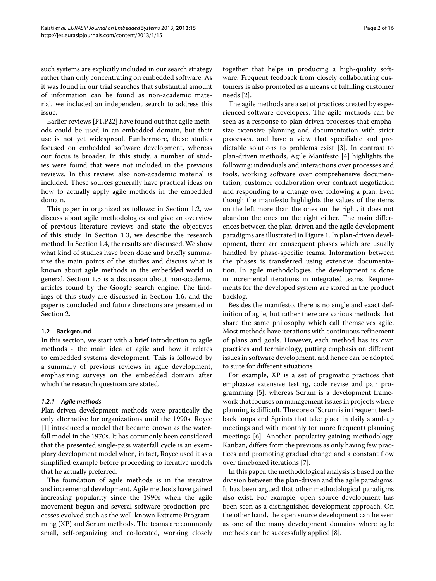such systems are explicitly included in our search strategy rather than only concentrating on embedded software. As it was found in our trial searches that substantial amount of information can be found as non-academic material, we included an independent search to address this issue.

Earlier reviews [P1,P22] have found out that agile methods could be used in an embedded domain, but their use is not yet widespread. Furthermore, these studies focused on embedded software development, whereas our focus is broader. In this study, a number of studies were found that were not included in the previous reviews. In this review, also non-academic material is included. These sources generally have practical ideas on how to actually apply agile methods in the embedded domain.

This paper in organized as follows: in Section [1.2,](#page-1-0) we discuss about agile methodologies and give an overview of previous literature reviews and state the objectives of this study. In Section [1.3,](#page-3-0) we describe the research method. In Section [1.4,](#page-3-1) the results are discussed. We show what kind of studies have been done and briefly summarize the main points of the studies and discuss what is known about agile methods in the embedded world in general. Section [1.5](#page-10-0) is a discussion about non-academic articles found by the Google search engine. The findings of this study are discussed in Section [1.6,](#page-11-0) and the paper is concluded and future directions are presented in Section [2.](#page-13-0)

### <span id="page-1-0"></span>**1.2 Background**

In this section, we start with a brief introduction to agile methods - the main idea of agile and how it relates to embedded systems development. This is followed by a summary of previous reviews in agile development, emphasizing surveys on the embedded domain after which the research questions are stated.

#### *1.2.1 Agile methods*

Plan-driven development methods were practically the only alternative for organizations until the 1990s. Royce [\[1\]](#page-14-0) introduced a model that became known as the waterfall model in the 1970s. It has commonly been considered that the presented single-pass waterfall cycle is an exemplary development model when, in fact, Royce used it as a simplified example before proceeding to iterative models that he actually preferred.

The foundation of agile methods is in the iterative and incremental development. Agile methods have gained increasing popularity since the 1990s when the agile movement begun and several software production processes evolved such as the well-known Extreme Programming (XP) and Scrum methods. The teams are commonly small, self-organizing and co-located, working closely

together that helps in producing a high-quality software. Frequent feedback from closely collaborating customers is also promoted as a means of fulfilling customer needs [\[2\]](#page-14-1).

The agile methods are a set of practices created by experienced software developers. The agile methods can be seen as a response to plan-driven processes that emphasize extensive planning and documentation with strict processes, and have a view that specifiable and predictable solutions to problems exist [\[3\]](#page-14-2). In contrast to plan-driven methods, Agile Manifesto [\[4\]](#page-14-3) highlights the following: individuals and interactions over processes and tools, working software over comprehensive documentation, customer collaboration over contract negotiation and responding to a change over following a plan. Even though the manifesto highlights the values of the items on the left more than the ones on the right, it does not abandon the ones on the right either. The main differences between the plan-driven and the agile development paradigms are illustrated in Figure [1.](#page-2-0) In plan-driven development, there are consequent phases which are usually handled by phase-specific teams. Information between the phases is transferred using extensive documentation. In agile methodologies, the development is done in incremental iterations in integrated teams. Requirements for the developed system are stored in the product backlog.

Besides the manifesto, there is no single and exact definition of agile, but rather there are various methods that share the same philosophy which call themselves agile. Most methods have iterations with continuous refinement of plans and goals. However, each method has its own practices and terminology, putting emphasis on different issues in software development, and hence can be adopted to suite for different situations.

For example, XP is a set of pragmatic practices that emphasize extensive testing, code revise and pair programming [\[5\]](#page-14-4), whereas Scrum is a development framework that focuses on management issues in projects where planning is difficult. The core of Scrum is in frequent feedback loops and Sprints that take place in daily stand-up meetings and with monthly (or more frequent) planning meetings [\[6\]](#page-14-5). Another popularity-gaining methodology, Kanban, differs from the previous as only having few practices and promoting gradual change and a constant flow over timeboxed iterations [\[7\]](#page-14-6).

In this paper, the methodological analysis is based on the division between the plan-driven and the agile paradigms. It has been argued that other methodological paradigms also exist. For example, open source development has been seen as a distinguished development approach. On the other hand, the open source development can be seen as one of the many development domains where agile methods can be successfully applied [\[8\]](#page-14-7).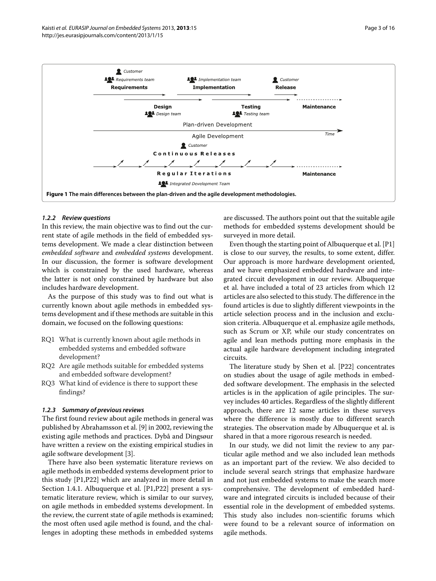

#### <span id="page-2-0"></span>*1.2.2 Review questions*

In this review, the main objective was to find out the current state of agile methods in the field of embedded systems development. We made a clear distinction between *embedded software* and *embedded systems* development. In our discussion, the former is software development which is constrained by the used hardware, whereas the latter is not only constrained by hardware but also includes hardware development.

As the purpose of this study was to find out what is currently known about agile methods in embedded systems development and if these methods are suitable in this domain, we focused on the following questions:

- RQ1 What is currently known about agile methods in embedded systems and embedded software development?
- RQ2 Are agile methods suitable for embedded systems and embedded software development?
- RQ3 What kind of evidence is there to support these findings?

#### <span id="page-2-1"></span>*1.2.3 Summary of previous reviews*

The first found review about agile methods in general was published by Abrahamsson et al. [\[9\]](#page-14-8) in 2002, reviewing the existing agile methods and practices. Dybå and Dingsøur have written a review on the existing empirical studies in agile software development [\[3\]](#page-14-2).

There have also been systematic literature reviews on agile methods in embedded systems development prior to this study [P1,P22] which are analyzed in more detail in Section [1.4.1.](#page-4-0) Albuquerque et al. [P1,P22] present a systematic literature review, which is similar to our survey, on agile methods in embedded systems development. In the review, the current state of agile methods is examined; the most often used agile method is found, and the challenges in adopting these methods in embedded systems are discussed. The authors point out that the suitable agile methods for embedded systems development should be surveyed in more detail.

Even though the starting point of Albuquerque et al. [P1] is close to our survey, the results, to some extent, differ. Our approach is more hardware development oriented, and we have emphasized embedded hardware and integrated circuit development in our review. Albuquerque et al. have included a total of 23 articles from which 12 articles are also selected to this study. The difference in the found articles is due to slightly different viewpoints in the article selection process and in the inclusion and exclusion criteria. Albuquerque et al. emphasize agile methods, such as Scrum or XP, while our study concentrates on agile and lean methods putting more emphasis in the actual agile hardware development including integrated circuits.

The literature study by Shen et al. [P22] concentrates on studies about the usage of agile methods in embedded software development. The emphasis in the selected articles is in the application of agile principles. The survey includes 40 articles. Regardless of the slightly different approach, there are 12 same articles in these surveys where the difference is mostly due to different search strategies. The observation made by Albuquerque et al. is shared in that a more rigorous research is needed.

In our study, we did not limit the review to any particular agile method and we also included lean methods as an important part of the review. We also decided to include several search strings that emphasize hardware and not just embedded systems to make the search more comprehensive. The development of embedded hardware and integrated circuits is included because of their essential role in the development of embedded systems. This study also includes non-scientific forums which were found to be a relevant source of information on agile methods.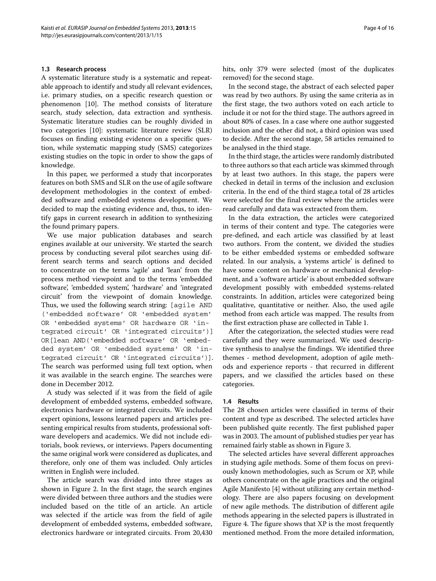#### <span id="page-3-0"></span>**1.3 Research process**

A systematic literature study is a systematic and repeatable approach to identify and study all relevant evidences, i.e. primary studies, on a specific research question or phenomenon [\[10\]](#page-14-9). The method consists of literature search, study selection, data extraction and synthesis. Systematic literature studies can be roughly divided in two categories [\[10\]](#page-14-9): systematic literature review (SLR) focuses on finding existing evidence on a specific question, while systematic mapping study (SMS) categorizes existing studies on the topic in order to show the gaps of knowledge.

In this paper, we performed a study that incorporates features on both SMS and SLR on the use of agile software development methodologies in the context of embedded software and embedded systems development. We decided to map the existing evidence and, thus, to identify gaps in current research in addition to synthesizing the found primary papers.

We use major publication databases and search engines available at our university. We started the search process by conducting several pilot searches using different search terms and search options and decided to concentrate on the terms 'agile' and 'lean' from the process method viewpoint and to the terms 'embedded software', 'embedded system', 'hardware' and 'integrated circuit' from the viewpoint of domain knowledge. Thus, we used the following search string: [agile AND ('embedded software' OR 'embedded system' OR 'embedded systems' OR hardware OR 'integrated circuit' OR 'integrated circuits')] OR[lean AND('embedded software' OR 'embedded system' OR 'embedded systems' OR 'integrated circuit' OR 'integrated circuits')]. The search was performed using full text option, when it was available in the search engine. The searches were done in December 2012.

A study was selected if it was from the field of agile development of embedded systems, embedded software, electronics hardware or integrated circuits. We included expert opinions, lessons learned papers and articles presenting empirical results from students, professional software developers and academics. We did not include editorials, book reviews, or interviews. Papers documenting the same original work were considered as duplicates, and therefore, only one of them was included. Only articles written in English were included.

The article search was divided into three stages as shown in Figure [2.](#page-4-1) In the first stage, the search engines were divided between three authors and the studies were included based on the title of an article. An article was selected if the article was from the field of agile development of embedded systems, embedded software, electronics hardware or integrated circuits. From 20,430

hits, only 379 were selected (most of the duplicates removed) for the second stage.

In the second stage, the abstract of each selected paper was read by two authors. By using the same criteria as in the first stage, the two authors voted on each article to include it or not for the third stage. The authors agreed in about 80% of cases. In a case where one author suggested inclusion and the other did not, a third opinion was used to decide. After the second stage, 58 articles remained to be analysed in the third stage.

In the third stage, the articles were randomly distributed to three authors so that each article was skimmed through by at least two authors. In this stage, the papers were checked in detail in terms of the inclusion and exclusion criteria. In the end of the third stage,a total of 28 articles were selected for the final review where the articles were read carefully and data was extracted from them.

In the data extraction, the articles were categorized in terms of their content and type. The categories were pre-defined, and each article was classified by at least two authors. From the content, we divided the studies to be either embedded systems or embedded software related. In our analysis, a 'systems article' is defined to have some content on hardware or mechanical development, and a 'software article' is about embedded software development possibly with embedded systems-related constraints. In addition, articles were categorized being qualitative, quantitative or neither. Also, the used agile method from each article was mapped. The results from the first extraction phase are collected in Table [1.](#page-5-0)

After the categorization, the selected studies were read carefully and they were summarized. We used descriptive synthesis to analyse the findings. We identified three themes - method development, adoption of agile methods and experience reports - that recurred in different papers, and we classified the articles based on these categories.

#### <span id="page-3-1"></span>**1.4 Results**

The 28 chosen articles were classified in terms of their content and type as described. The selected articles have been published quite recently. The first published paper was in 2003. The amount of published studies per year has remained fairly stable as shown in Figure [3.](#page-6-0)

The selected articles have several different approaches in studying agile methods. Some of them focus on previously known methodologies, such as Scrum or XP, while others concentrate on the agile practices and the original Agile Manifesto [\[4\]](#page-14-3) without utilizing any certain methodology. There are also papers focusing on development of new agile methods. The distribution of different agile methods appearing in the selected papers is illustrated in Figure [4.](#page-6-1) The figure shows that XP is the most frequently mentioned method. From the more detailed information,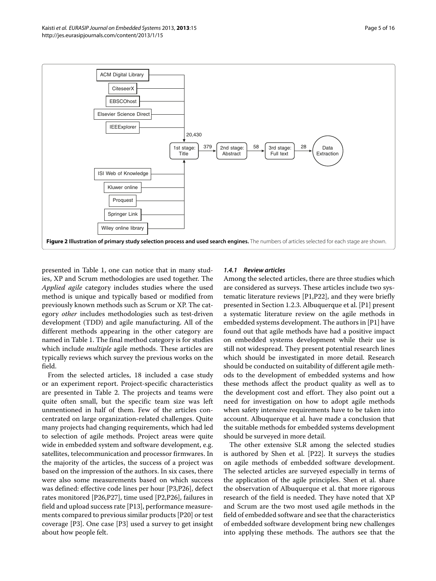

<span id="page-4-1"></span>presented in Table [1,](#page-5-0) one can notice that in many studies, XP and Scrum methodologies are used together. The *Applied agile* category includes studies where the used method is unique and typically based or modified from previously known methods such as Scrum or XP. The category *other* includes methodologies such as test-driven development (TDD) and agile manufacturing. All of the different methods appearing in the other category are named in Table [1.](#page-5-0) The final method category is for studies which include *multiple* agile methods. These articles are typically reviews which survey the previous works on the field.

From the selected articles, 18 included a case study or an experiment report. Project-specific characteristics are presented in Table [2.](#page-7-0) The projects and teams were quite often small, but the specific team size was left unmentioned in half of them. Few of the articles concentrated on large organization-related challenges. Quite many projects had changing requirements, which had led to selection of agile methods. Project areas were quite wide in embedded system and software development, e.g. satellites, telecommunication and processor firmwares. In the majority of the articles, the success of a project was based on the impression of the authors. In six cases, there were also some measurements based on which success was defined: effective code lines per hour [P3,P26], defect rates monitored [P26,P27], time used [P2,P26], failures in field and upload success rate [P13], performance measurements compared to previous similar products [P20] or test coverage [P3]. One case [P3] used a survey to get insight about how people felt.

# <span id="page-4-0"></span>*1.4.1 Review articles*

Among the selected articles, there are three studies which are considered as surveys. These articles include two systematic literature reviews [P1,P22], and they were briefly presented in Section [1.2.3.](#page-2-1) Albuquerque et al. [P1] present a systematic literature review on the agile methods in embedded systems development. The authors in [P1] have found out that agile methods have had a positive impact on embedded systems development while their use is still not widespread. They present potential research lines which should be investigated in more detail. Research should be conducted on suitability of different agile methods to the development of embedded systems and how these methods affect the product quality as well as to the development cost and effort. They also point out a need for investigation on how to adopt agile methods when safety intensive requirements have to be taken into account. Albuquerque et al. have made a conclusion that the suitable methods for embedded systems development should be surveyed in more detail.

The other extensive SLR among the selected studies is authored by Shen et al. [P22]. It surveys the studies on agile methods of embedded software development. The selected articles are surveyed especially in terms of the application of the agile principles. Shen et al. share the observation of Albuquerque et al. that more rigorous research of the field is needed. They have noted that XP and Scrum are the two most used agile methods in the field of embedded software and see that the characteristics of embedded software development bring new challenges into applying these methods. The authors see that the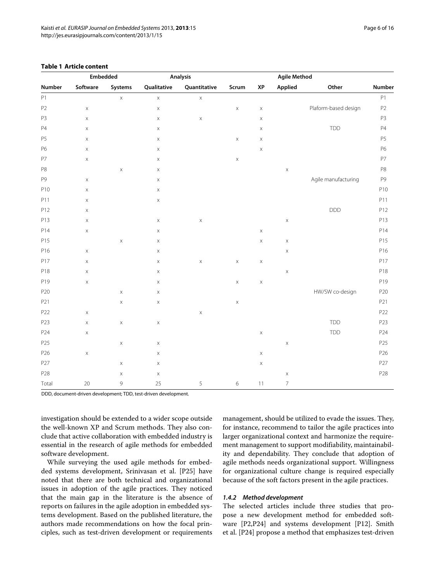#### <span id="page-5-0"></span>**Table 1 Article content**

|                | <b>Embedded</b> |                       | <b>Analysis</b> |              | <b>Agile Method</b> |             |                |                      |                 |
|----------------|-----------------|-----------------------|-----------------|--------------|---------------------|-------------|----------------|----------------------|-----------------|
| Number         | Software        | Systems               | Qualitative     | Quantitative | Scrum               | XP          | Applied        | Other                | Number          |
| P1             |                 | $\mathsf X$           | $\mathsf X$     | $\mathsf X$  |                     |             |                |                      | P1              |
| P <sub>2</sub> | $\mathsf X$     |                       | $\mathsf X$     |              | $\mathsf X$         | $\mathsf X$ |                | Plaform-based design | P <sub>2</sub>  |
| P3             | $\mathsf X$     |                       | $\mathsf X$     | $\mathsf X$  |                     | $\mathsf X$ |                |                      | P3              |
| P4             | $\mathsf X$     |                       | $\mathsf X$     |              |                     | $\mathsf X$ |                | TDD                  | P4              |
| P <sub>5</sub> | $\mathsf X$     |                       | $\mathsf X$     |              | $\mathsf X$         | $\mathsf X$ |                |                      | P <sub>5</sub>  |
| P6             | $\mathsf X$     |                       | $\mathsf X$     |              |                     | $\mathsf X$ |                |                      | P6              |
| P7             | $\mathsf X$     |                       | $\mathsf X$     |              | $\mathsf X$         |             |                |                      | P7              |
| P8             |                 | $\mathsf X$           | $\mathsf X$     |              |                     |             | $\mathsf X$    |                      | P8              |
| P9             | $\mathsf X$     |                       | $\mathsf X$     |              |                     |             |                | Agile manufacturing  | P9              |
| P10            | $\mathsf X$     |                       | $\mathsf X$     |              |                     |             |                |                      | P10             |
| P11            | $\mathsf X$     |                       | $\mathsf X$     |              |                     |             |                |                      | P11             |
| P12            | $\mathsf X$     |                       |                 |              |                     |             |                | <b>DDD</b>           | P12             |
| P13            | $\mathsf X$     |                       | $\mathsf X$     | $\mathsf X$  |                     |             | $\mathsf X$    |                      | P13             |
| P14            | $\mathsf X$     |                       | $\mathsf X$     |              |                     | $\mathsf X$ |                |                      | P14             |
| P15            |                 | $\mathsf X$           | $\mathsf X$     |              |                     | $\mathsf X$ | X              |                      | P15             |
| P16            | $\mathsf X$     |                       | $\mathsf X$     |              |                     |             | X              |                      | P16             |
| P17            | $\mathsf X$     |                       | $\mathsf X$     | $\mathsf X$  | $\mathsf X$         | $\mathsf X$ |                |                      | P17             |
| P18            | $\mathsf X$     |                       | $\mathsf X$     |              |                     |             | $\mathsf X$    |                      | P18             |
| P19            | $\mathsf X$     |                       | $\mathsf X$     |              | $\mathsf X$         | $\mathsf X$ |                |                      | P19             |
| P20            |                 | $\mathsf X$           | $\mathsf X$     |              |                     |             |                | HW/SW co-design      | P20             |
| P21            |                 | $\mathsf X$           | $\mathsf X$     |              | $\mathsf X$         |             |                |                      | P21             |
| P22            | $\mathsf X$     |                       |                 | $\mathsf X$  |                     |             |                |                      | P22             |
| P23            | $\mathsf X$     | $\mathsf X$           | $\mathsf X$     |              |                     |             |                | <b>TDD</b>           | P23             |
| P24            | $\mathsf X$     |                       |                 |              |                     | $\mathsf X$ |                | <b>TDD</b>           | P24             |
| P25            |                 | $\mathsf X$           | $\mathsf X$     |              |                     |             | $\mathsf X$    |                      | P25             |
| P26            | $\mathsf X$     |                       | $\mathsf X$     |              |                     | $\mathsf X$ |                |                      | P <sub>26</sub> |
| P27            |                 | $\boldsymbol{\times}$ | $\mathsf X$     |              |                     | $\mathsf X$ |                |                      | P27             |
| P28            |                 | $\mathsf X$           | $\mathsf X$     |              |                     |             | $\mathsf X$    |                      | P28             |
| Total          | 20              | 9                     | 25              | 5            | 6                   | 11          | $\overline{7}$ |                      |                 |

DDD, document-driven development; TDD, test-driven development.

investigation should be extended to a wider scope outside the well-known XP and Scrum methods. They also conclude that active collaboration with embedded industry is essential in the research of agile methods for embedded software development.

While surveying the used agile methods for embedded systems development, Srinivasan et al. [P25] have noted that there are both technical and organizational issues in adoption of the agile practices. They noticed that the main gap in the literature is the absence of reports on failures in the agile adoption in embedded systems development. Based on the published literature, the authors made recommendations on how the focal principles, such as test-driven development or requirements management, should be utilized to evade the issues. They, for instance, recommend to tailor the agile practices into larger organizational context and harmonize the requirement management to support modifiability, maintainability and dependability. They conclude that adoption of agile methods needs organizational support. Willingness for organizational culture change is required especially because of the soft factors present in the agile practices.

#### *1.4.2 Method development*

The selected articles include three studies that propose a new development method for embedded software [P2,P24] and systems development [P12]. Smith et al. [P24] propose a method that emphasizes test-driven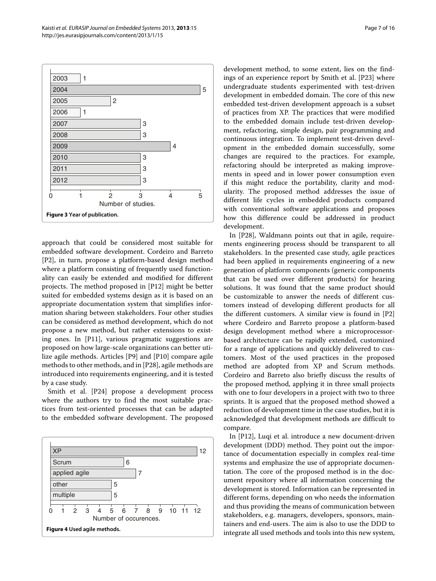

<span id="page-6-0"></span>approach that could be considered most suitable for embedded software development. Cordeiro and Barreto [P2], in turn, propose a platform-based design method where a platform consisting of frequently used functionality can easily be extended and modified for different projects. The method proposed in [P12] might be better suited for embedded systems design as it is based on an appropriate documentation system that simplifies information sharing between stakeholders. Four other studies can be considered as method development, which do not propose a new method, but rather extensions to existing ones. In [P11], various pragmatic suggestions are proposed on how large-scale organizations can better utilize agile methods. Articles [P9] and [P10] compare agile methods to other methods, and in [P28], agile methods are introduced into requirements engineering, and it is tested by a case study.

Smith et al. [P24] propose a development process where the authors try to find the most suitable practices from test-oriented processes that can be adapted to the embedded software development. The proposed

<span id="page-6-1"></span>

development method, to some extent, lies on the findings of an experience report by Smith et al. [P23] where undergraduate students experimented with test-driven development in embedded domain. The core of this new embedded test-driven development approach is a subset of practices from XP. The practices that were modified to the embedded domain include test-driven development, refactoring, simple design, pair programming and continuous integration. To implement test-driven development in the embedded domain successfully, some changes are required to the practices. For example, refactoring should be interpreted as making improvements in speed and in lower power consumption even if this might reduce the portability, clarity and modularity. The proposed method addresses the issue of different life cycles in embedded products compared with conventional software applications and proposes how this difference could be addressed in product development.

In [P28], Waldmann points out that in agile, requirements engineering process should be transparent to all stakeholders. In the presented case study, agile practices had been applied in requirements engineering of a new generation of platform components (generic components that can be used over different products) for hearing solutions. It was found that the same product should be customizable to answer the needs of different customers instead of developing different products for all the different customers. A similar view is found in [P2] where Cordeiro and Barreto propose a platform-based design development method where a microprocessorbased architecture can be rapidly extended, customized for a range of applications and quickly delivered to customers. Most of the used practices in the proposed method are adopted from XP and Scrum methods. Cordeiro and Barreto also briefly discuss the results of the proposed method, applying it in three small projects with one to four developers in a project with two to three sprints. It is argued that the proposed method showed a reduction of development time in the case studies, but it is acknowledged that development methods are difficult to compare.

In [P12], Luqi et al. introduce a new document-driven development (DDD) method. They point out the importance of documentation especially in complex real-time systems and emphasize the use of appropriate documentation. The core of the proposed method is in the document repository where all information concerning the development is stored. Information can be represented in different forms, depending on who needs the information and thus providing the means of communication between stakeholders, e.g. managers, developers, sponsors, maintainers and end-users. The aim is also to use the DDD to integrate all used methods and tools into this new system,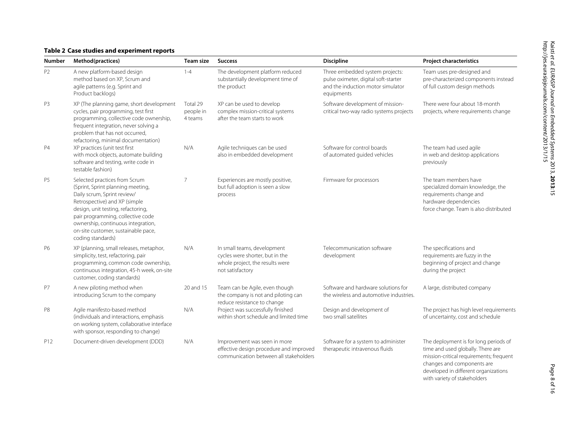# **Table 2 Case studies and experiment reports**

| Number         | Method(practices)                                                                                                                                                                                                                                                                                               | Team size                        | <b>Success</b>                                                                                                        | <b>Discipline</b>                                                                                                          | <b>Project characteristics</b>                                                                                                                           |
|----------------|-----------------------------------------------------------------------------------------------------------------------------------------------------------------------------------------------------------------------------------------------------------------------------------------------------------------|----------------------------------|-----------------------------------------------------------------------------------------------------------------------|----------------------------------------------------------------------------------------------------------------------------|----------------------------------------------------------------------------------------------------------------------------------------------------------|
| P <sub>2</sub> | A new platform-based design<br>method based on XP, Scrum and<br>agile patterns (e.g. Sprint and<br>Product backlogs)                                                                                                                                                                                            | $1 - 4$                          | The development platform reduced<br>substantially development time of<br>the product                                  | Three embedded system projects:<br>pulse oximeter, digital soft-starter<br>and the induction motor simulator<br>equipments | Team uses pre-designed and<br>pre-characterized components instead<br>of full custom design methods                                                      |
| P <sub>3</sub> | XP (The planning game, short development<br>cycles, pair programming, test first<br>programming, collective code ownership,<br>frequent integration, never solving a<br>problem that has not occurred,<br>refactoring, minimal documentation)                                                                   | Total 29<br>people in<br>4 teams | XP can be used to develop<br>complex mission-critical systems<br>after the team starts to work                        | Software development of mission-<br>critical two-way radio systems projects                                                | There were four about 18-month<br>projects, where requirements change                                                                                    |
| P4             | XP practices (unit test first<br>with mock objects, automate building<br>software and testing, write code in<br>testable fashion)                                                                                                                                                                               | N/A                              | Agile techniques can be used<br>also in embedded development                                                          | Software for control boards<br>of automated guided vehicles                                                                | The team had used agile<br>in web and desktop applications<br>previously                                                                                 |
| P5             | Selected practices from Scrum<br>(Sprint, Sprint planning meeting,<br>Daily scrum, Sprint review/<br>Retrospective) and XP (simple<br>design, unit testing, refactoring,<br>pair programming, collective code<br>ownership, continuous integration,<br>on-site customer, sustainable pace,<br>coding standards) | 7                                | Experiences are mostly positive,<br>but full adoption is seen a slow<br>process                                       | Firmware for processors                                                                                                    | The team members have<br>specialized domain knowledge, the<br>requirements change and<br>hardware dependencies<br>force change. Team is also distributed |
| P6             | XP (planning, small releases, metaphor,<br>simplicity, test, refactoring, pair<br>programming, common code ownership,<br>continuous integration, 45-h week, on-site<br>customer, coding standards)                                                                                                              | N/A                              | In small teams, development<br>cycles were shorter, but in the<br>whole project, the results were<br>not satisfactory | Telecommunication software<br>development                                                                                  | The specifications and<br>requirements are fuzzy in the<br>beginning of project and change<br>during the project                                         |
| P7             | A new piloting method when<br>introducing Scrum to the company                                                                                                                                                                                                                                                  | 20 and 15                        | Team can be Agile, even though<br>the company is not and piloting can<br>reduce resistance to change                  | Software and hardware solutions for<br>the wireless and automotive industries.                                             | A large, distributed company                                                                                                                             |
| P8             | Agile manifesto-based method<br>(individuals and interactions, emphasis<br>on working system, collaborative interface<br>with sponsor, responding to change)                                                                                                                                                    | N/A                              | Project was successfully finished<br>within short schedule and limited time                                           | Design and development of<br>two small satellites                                                                          | The project has high level requirements<br>of uncertainty, cost and schedule                                                                             |
| P12            | Document-driven development (DDD)                                                                                                                                                                                                                                                                               | N/A                              | Improvement was seen in more<br>effective design procedure and improved<br>communication between all stakeholders     | Software for a system to administer<br>therapeutic intravenous fluids                                                      | The deployment is for long periods of<br>time and used globally. There are<br>mission-critical requirements; frequent<br>changes and components are      |

<span id="page-7-0"></span>developed in different organizations with variety of stakeholders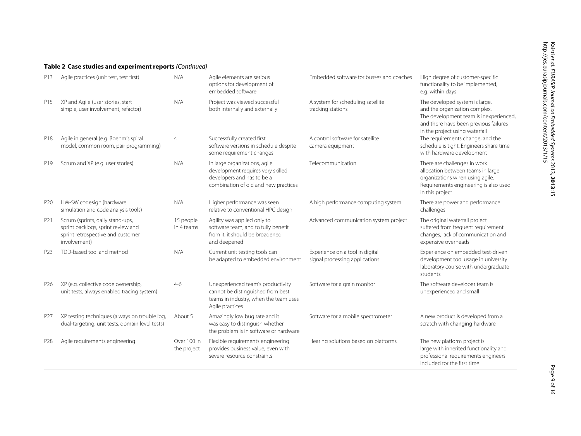|  |  |  | Table 2 Case studies and experiment reports (Continued) |
|--|--|--|---------------------------------------------------------|
|--|--|--|---------------------------------------------------------|

| P <sub>13</sub> | Agile practices (unit test, test first)                                                                                     | N/A                        | Agile elements are serious<br>options for development of<br>embedded software                                                            | Embedded software for busses and coaches                          | High degree of customer-specific<br>functionality to be implemented,<br>e.g. within days                                                                                                                                                                                                         |  |
|-----------------|-----------------------------------------------------------------------------------------------------------------------------|----------------------------|------------------------------------------------------------------------------------------------------------------------------------------|-------------------------------------------------------------------|--------------------------------------------------------------------------------------------------------------------------------------------------------------------------------------------------------------------------------------------------------------------------------------------------|--|
| P <sub>15</sub> | XP and Agile (user stories, start<br>simple, user involvement, refactor)                                                    | N/A                        | Project was viewed successful<br>both internally and externally                                                                          | A system for scheduling satellite<br>tracking stations            | The developed system is large,<br>and the organization complex.<br>The development team is inexperienced,<br>and there have been previous failures<br>in the project using waterfall<br>The requirements change, and the<br>schedule is tight. Engineers share time<br>with hardware development |  |
| P18             | Agile in general (e.g. Boehm's spiral<br>model, common room, pair programming)                                              | $\overline{4}$             | Successfully created first<br>software versions in schedule despite<br>some requirement changes                                          | A control software for satellite<br>camera equipment              |                                                                                                                                                                                                                                                                                                  |  |
| P19             | Scrum and XP (e.g. user stories)                                                                                            | N/A                        | In large organizations, agile<br>development requires very skilled<br>developers and has to be a<br>combination of old and new practices | Telecommunication                                                 | There are challenges in work<br>allocation between teams in large<br>organizations when using agile.<br>Requirements engineering is also used<br>in this project                                                                                                                                 |  |
| P <sub>20</sub> | HW-SW codesign (hardware<br>simulation and code analysis tools)                                                             | N/A                        | Higher performance was seen<br>relative to conventional HPC design                                                                       | A high performance computing system                               | There are power and performance<br>challenges                                                                                                                                                                                                                                                    |  |
| P21             | Scrum (sprints, daily stand-ups,<br>sprint backlogs, sprint review and<br>sprint retrospective and customer<br>involvement) | 15 people<br>in 4 teams    | Agility was applied only to<br>software team, and to fully benefit<br>from it, it should be broadened<br>and deepened                    | Advanced communication system project                             | The original waterfall project<br>suffered from frequent requirement<br>changes, lack of communication and<br>expensive overheads                                                                                                                                                                |  |
| P <sub>23</sub> | TDD-based tool and method                                                                                                   | N/A                        | Current unit testing tools can<br>be adapted to embedded environment                                                                     | Experience on a tool in digital<br>signal processing applications | Experience on embedded test-driven<br>development tool usage in university<br>laboratory course with undergraduate<br>students                                                                                                                                                                   |  |
| P <sub>26</sub> | XP (e.g. collective code ownership,<br>unit tests, always enabled tracing system)                                           | $4 - 6$                    | Unexperienced team's productivity<br>cannot be distinguished from best<br>teams in industry, when the team uses<br>Agile practices       | Software for a grain monitor                                      | The software developer team is<br>unexperienced and small                                                                                                                                                                                                                                        |  |
| P <sub>27</sub> | XP testing techniques (always on trouble log,<br>dual-targeting, unit tests, domain level tests)                            | About 5                    | Amazingly low bug rate and it<br>was easy to distinguish whether<br>the problem is in software or hardware                               | Software for a mobile spectrometer                                | A new product is developed from a<br>scratch with changing hardware                                                                                                                                                                                                                              |  |
| P <sub>28</sub> | Agile requirements engineering                                                                                              | Over 100 in<br>the project | Flexible requirements engineering<br>provides business value, even with<br>severe resource constraints                                   | Hearing solutions based on platforms                              | The new platform project is<br>large with inherited functionality and<br>professional requirements engineers<br>included for the first time                                                                                                                                                      |  |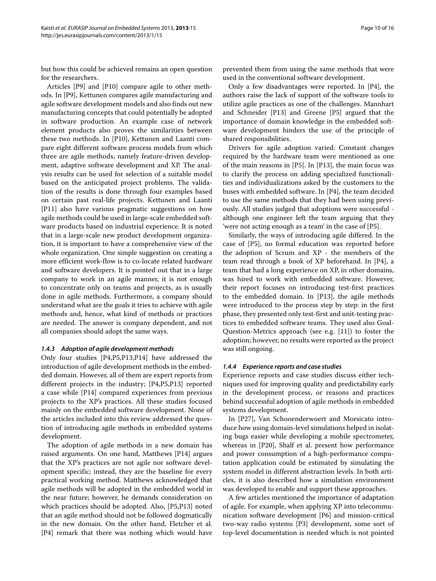but how this could be achieved remains an open question for the researchers.

Articles [P9] and [P10] compare agile to other methods. In [P9], Kettunen compares agile manufacturing and agile software development models and also finds out new manufacturing concepts that could potentially be adopted in software production. An example case of network element products also proves the similarities between these two methods. In [P10], Kettunen and Laanti compare eight different software process models from which three are agile methods, namely feature-driven development, adaptive software development and XP. The analysis results can be used for selection of a suitable model based on the anticipated project problems. The validation of the results is done through four examples based on certain past real-life projects. Kettunen and Laanti [P11] also have various pragmatic suggestions on how agile methods could be used in large-scale embedded software products based on industrial experience. It is noted that in a large-scale new product development organization, it is important to have a comprehensive view of the whole organization. One simple suggestion on creating a more efficient work-flow is to co-locate related hardware and software developers. It is pointed out that in a large company to work in an agile manner, it is not enough to concentrate only on teams and projects, as is usually done in agile methods. Furthermore, a company should understand what are the goals it tries to achieve with agile methods and, hence, what kind of methods or practices are needed. The answer is company dependent, and not all companies should adopt the same ways.

#### *1.4.3 Adoption of agile development methods*

Only four studies [P4,P5,P13,P14] have addressed the introduction of agile development methods in the embedded domain. However, all of them are expert reports from different projects in the industry; [P4,P5,P13] reported a case while [P14] compared experiences from previous projects to the XP's practices. All these studies focused mainly on the embedded software development. None of the articles included into this review addressed the question of introducing agile methods in embedded systems development.

The adoption of agile methods in a new domain has raised arguments. On one hand, Matthews [P14] argues that the XP's practices are not agile nor software development specific; instead, they are the baseline for every practical working method. Matthews acknowledged that agile methods will be adopted in the embedded world in the near future; however, he demands consideration on which practices should be adopted. Also, [P5,P13] noted that an agile method should not be followed dogmatically in the new domain. On the other hand, Fletcher et al. [P4] remark that there was nothing which would have

prevented them from using the same methods that were used in the conventional software development.

Only a few disadvantages were reported. In [P4], the authors raise the lack of support of the software tools to utilize agile practices as one of the challenges. Mannhart and Schneider [P13] and Greene [P5] argued that the importance of domain knowledge in the embedded software development hinders the use of the principle of shared responsibilities.

Drivers for agile adoption varied: Constant changes required by the hardware team were mentioned as one of the main reasons in [P5]. In [P13], the main focus was to clarify the process on adding specialized functionalities and individualizations asked by the customers to the buses with embedded software. In [P4], the team decided to use the same methods that they had been using previously. All studies judged that adoptions were successful although one engineer left the team arguing that they 'were not acting enough as a team' in the case of [P5].

Similarly, the ways of introducing agile differed. In the case of [P5], no formal education was reported before the adoption of Scrum and XP - the members of the team read through a book of XP beforehand. In [P4], a team that had a long experience on XP, in other domains, was hired to work with embedded software. However, their report focuses on introducing test-first practices to the embedded domain. In [P13], the agile methods were introduced to the process step by step: in the first phase, they presented only test-first and unit-testing practices to embedded software teams. They used also Goal-Question-Metrics approach (see e.g. [\[11\]](#page-14-10)) to foster the adoption; however, no results were reported as the project was still ongoing.

#### *1.4.4 Experience reports and case studies*

Experience reports and case studies discuss either techniques used for improving quality and predictability early in the development process, or reasons and practices behind successful adoption of agile methods in embedded systems development.

In [P27], Van Schooenderwoert and Morsicato introduce how using domain-level simulations helped in isolating bugs easier while developing a mobile spectrometer, whereas in [P20], Shalf et al. present how performance and power consumption of a high-performance computation application could be estimated by simulating the system model in different abstraction levels. In both articles, it is also described how a simulation environment was developed to enable and support these approaches.

A few articles mentioned the importance of adaptation of agile. For example, when applying XP into telecommunication software development [P6] and mission-critical two-way radio systems [P3] development, some sort of top-level documentation is needed which is not pointed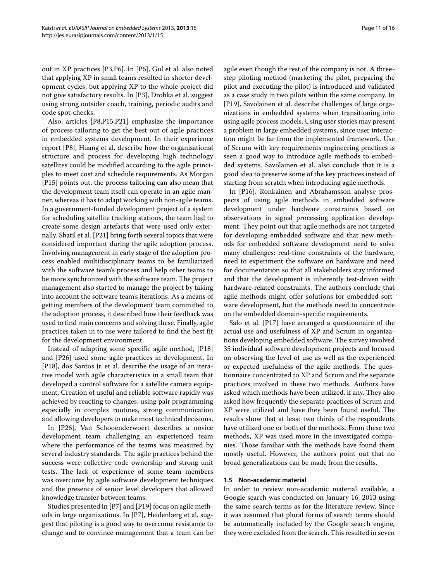out in XP practices [P3,P6]. In [P6], Gul et al. also noted that applying XP in small teams resulted in shorter development cycles, but applying XP to the whole project did not give satisfactory results. In [P3], Drobka et al. suggest using strong outsider coach, training, periodic audits and code spot-checks.

Also, articles [P8,P15,P21] emphasize the importance of process tailoring to get the best out of agile practices in embedded systems development. In their experience report [P8], Huang et al. describe how the organisational structure and process for developing high technology satellites could be modified according to the agile principles to meet cost and schedule requirements. As Morgan [P15] points out, the process tailoring can also mean that the development team itself can operate in an agile manner, whereas it has to adapt working with non-agile teams. In a government-funded development project of a system for scheduling satellite tracking stations, the team had to create some design artefacts that were used only externally. Shatil et al. [P21] bring forth several topics that were considered important during the agile adoption process. Involving management in early stage of the adoption process enabled multidisciplinary teams to be familiarized with the software team's process and help other teams to be more synchronized with the software team. The project management also started to manage the project by taking into account the software team's iterations. As a means of getting members of the development team committed to the adoption process, it described how their feedback was used to find main concerns and solving these. Finally, agile practices taken in to use were tailored to find the best fit for the development environment.

Instead of adapting some specific agile method, [P18] and [P26] used some agile practices in development. In [P18], dos Santos Jr. et al. describe the usage of an iterative model with agile characteristics in a small team that developed a control software for a satellite camera equipment. Creation of useful and reliable software rapidly was achieved by reacting to changes, using pair programming especially in complex routines, strong communication and allowing developers to make most technical decisions.

In [P26], Van Schooenderwoert describes a novice development team challenging an experienced team where the performance of the teams was measured by several industry standards. The agile practices behind the success were collective code ownership and strong unit tests. The lack of experience of some team members was overcome by agile software development techniques and the presence of senior level developers that allowed knowledge transfer between teams.

Studies presented in [P7] and [P19] focus on agile methods in large organizations. In [P7], Heidenberg et al. suggest that piloting is a good way to overcome resistance to change and to convince management that a team can be agile even though the rest of the company is not. A threestep piloting method (marketing the pilot, preparing the pilot and executing the pilot) is introduced and validated as a case study in two pilots within the same company. In [P19], Savolainen et al. describe challenges of large organizations in embedded systems when transitioning into using agile process models. Using user stories may present a problem in large embedded systems, since user interaction might be far from the implemented framework. Use of Scrum with key requirements engineering practices is seen a good way to introduce agile methods to embedded systems. Savolainen et al. also conclude that it is a good idea to preserve some of the key practices instead of

starting from scratch when introducing agile methods. In [P16], Ronkainen and Abrahamsson analyse prospects of using agile methods in embedded software development under hardware constraints based on observations in signal processing application development. They point out that agile methods are not targeted for developing embedded software and that new methods for embedded software development need to solve many challenges: real-time constraints of the hardware, need to experiment the software on hardware and need for documentation so that all stakeholders stay informed and that the development is inherently test-driven with hardware-related constraints. The authors conclude that agile methods might offer solutions for embedded software development, but the methods need to concentrate on the embedded domain-specific requirements.

Salo et al. [P17] have arranged a questionnaire of the actual use and usefulness of XP and Scrum in organizations developing embedded software. The survey involved 35 individual software development projects and focused on observing the level of use as well as the experienced or expected usefulness of the agile methods. The questionnaire concentrated to XP and Scrum and the separate practices involved in these two methods. Authors have asked which methods have been utilized, if any. They also asked how frequently the separate practices of Scrum and XP were utilized and have they been found useful. The results show that at least two thirds of the respondents have utilized one or both of the methods. From these two methods, XP was used more in the investigated companies. Those familiar with the methods have found them mostly useful. However, the authors point out that no broad generalizations can be made from the results.

#### <span id="page-10-0"></span>**1.5 Non-academic material**

In order to review non-academic material available, a Google search was conducted on January 16, 2013 using the same search terms as for the literature review. Since it was assumed that plural forms of search terms should be automatically included by the Google search engine, they were excluded from the search. This resulted in seven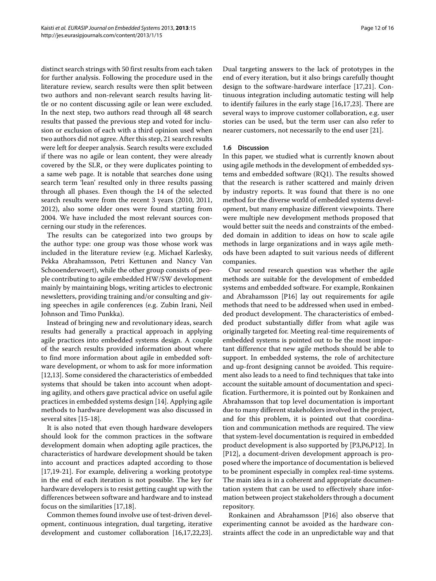distinct search strings with 50 first results from each taken for further analysis. Following the procedure used in the literature review, search results were then split between two authors and non-relevant search results having little or no content discussing agile or lean were excluded. In the next step, two authors read through all 48 search results that passed the previous step and voted for inclusion or exclusion of each with a third opinion used when two authors did not agree. After this step, 21 search results were left for deeper analysis. Search results were excluded if there was no agile or lean content, they were already covered by the SLR, or they were duplicates pointing to a same web page. It is notable that searches done using search term 'lean' resulted only in three results passing through all phases. Even though the 14 of the selected search results were from the recent 3 years (2010, 2011, 2012), also some older ones were found starting from 2004. We have included the most relevant sources concerning our study in the references.

The results can be categorized into two groups by the author type: one group was those whose work was included in the literature review (e.g. Michael Karlesky, Pekka Abrahamsson, Petri Kettunen and Nancy Van Schooenderwoert), while the other group consists of people contributing to agile embedded HW/SW development mainly by maintaining blogs, writing articles to electronic newsletters, providing training and/or consulting and giving speeches in agile conferences (e.g. Zubin Irani, Neil Johnson and Timo Punkka).

Instead of bringing new and revolutionary ideas, search results had generally a practical approach in applying agile practices into embedded systems design. A couple of the search results provided information about where to find more information about agile in embedded software development, or whom to ask for more information [\[12](#page-14-11)[,13\]](#page-14-12). Some considered the characteristics of embedded systems that should be taken into account when adopting agility, and others gave practical advice on useful agile practices in embedded systems design [\[14\]](#page-14-13). Applying agile methods to hardware development was also discussed in several sites [\[15](#page-14-14)[-18\]](#page-14-15).

It is also noted that even though hardware developers should look for the common practices in the software development domain when adopting agile practices, the characteristics of hardware development should be taken into account and practices adapted according to those [\[17](#page-14-16)[,19-](#page-14-17)[21\]](#page-15-0). For example, delivering a working prototype in the end of each iteration is not possible. The key for hardware developers is to resist getting caught up with the differences between software and hardware and to instead focus on the similarities [\[17](#page-14-16)[,18\]](#page-14-15).

Common themes found involve use of test-driven development, continuous integration, dual targeting, iterative development and customer collaboration [\[16,](#page-14-18)[17,](#page-14-16)[22,](#page-15-1)[23\]](#page-15-2).

Dual targeting answers to the lack of prototypes in the end of every iteration, but it also brings carefully thought design to the software-hardware interface [\[17](#page-14-16)[,21\]](#page-15-0). Continuous integration including automatic testing will help to identify failures in the early stage [\[16](#page-14-18)[,17](#page-14-16)[,23\]](#page-15-2). There are several ways to improve customer collaboration, e.g. user stories can be used, but the term user can also refer to nearer customers, not necessarily to the end user [\[21\]](#page-15-0).

#### <span id="page-11-0"></span>**1.6 Discussion**

In this paper, we studied what is currently known about using agile methods in the development of embedded systems and embedded software (RQ1). The results showed that the research is rather scattered and mainly driven by industry reports. It was found that there is no one method for the diverse world of embedded systems development, but many emphasize different viewpoints. There were multiple new development methods proposed that would better suit the needs and constraints of the embedded domain in addition to ideas on how to scale agile methods in large organizations and in ways agile methods have been adapted to suit various needs of different companies.

Our second research question was whether the agile methods are suitable for the development of embedded systems and embedded software. For example, Ronkainen and Abrahamsson [P16] lay out requirements for agile methods that need to be addressed when used in embedded product development. The characteristics of embedded product substantially differ from what agile was originally targeted for. Meeting real-time requirements of embedded systems is pointed out to be the most important difference that new agile methods should be able to support. In embedded systems, the role of architecture and up-front designing cannot be avoided. This requirement also leads to a need to find techniques that take into account the suitable amount of documentation and specification. Furthermore, it is pointed out by Ronkainen and Abrahamsson that top level documentation is important due to many different stakeholders involved in the project, and for this problem, it is pointed out that coordination and communication methods are required. The view that system-level documentation is required in embedded product development is also supported by [P3,P6,P12]. In [P12], a document-driven development approach is proposed where the importance of documentation is believed to be prominent especially in complex real-time systems. The main idea is in a coherent and appropriate documentation system that can be used to effectively share information between project stakeholders through a document repository.

Ronkainen and Abrahamsson [P16] also observe that experimenting cannot be avoided as the hardware constraints affect the code in an unpredictable way and that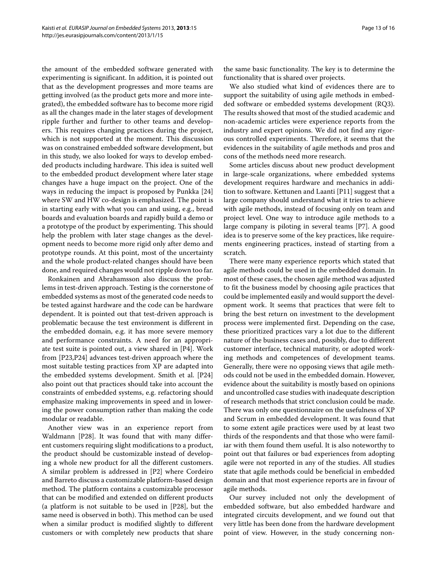the amount of the embedded software generated with experimenting is significant. In addition, it is pointed out that as the development progresses and more teams are getting involved (as the product gets more and more integrated), the embedded software has to become more rigid as all the changes made in the later stages of development ripple further and further to other teams and developers. This requires changing practices during the project, which is not supported at the moment. This discussion was on constrained embedded software development, but in this study, we also looked for ways to develop embedded products including hardware. This idea is suited well to the embedded product development where later stage changes have a huge impact on the project. One of the ways in reducing the impact is proposed by Punkka [\[24\]](#page-15-3) where SW and HW co-design is emphasized. The point is in starting early with what you can and using, e.g., bread boards and evaluation boards and rapidly build a demo or a prototype of the product by experimenting. This should help the problem with later stage changes as the development needs to become more rigid only after demo and prototype rounds. At this point, most of the uncertainty and the whole product-related changes should have been done, and required changes would not ripple down too far.

Ronkainen and Abrahamsson also discuss the problems in test-driven approach. Testing is the cornerstone of embedded systems as most of the generated code needs to be tested against hardware and the code can be hardware dependent. It is pointed out that test-driven approach is problematic because the test environment is different in the embedded domain, e.g. it has more severe memory and performance constraints. A need for an appropriate test suite is pointed out, a view shared in [P4]. Work from [P23,P24] advances test-driven approach where the most suitable testing practices from XP are adapted into the embedded systems development. Smith et al. [P24] also point out that practices should take into account the constraints of embedded systems, e.g. refactoring should emphasize making improvements in speed and in lowering the power consumption rather than making the code modular or readable.

Another view was in an experience report from Waldmann [P28]. It was found that with many different customers requiring slight modifications to a product, the product should be customizable instead of developing a whole new product for all the different customers. A similar problem is addressed in [P2] where Cordeiro and Barreto discuss a customizable platform-based design method. The platform contains a customizable processor that can be modified and extended on different products (a platform is not suitable to be used in [P28], but the same need is observed in both). This method can be used when a similar product is modified slightly to different customers or with completely new products that share the same basic functionality. The key is to determine the functionality that is shared over projects.

We also studied what kind of evidences there are to support the suitability of using agile methods in embedded software or embedded systems development (RQ3). The results showed that most of the studied academic and non-academic articles were experience reports from the industry and expert opinions. We did not find any rigorous controlled experiments. Therefore, it seems that the evidences in the suitability of agile methods and pros and cons of the methods need more research.

Some articles discuss about new product development in large-scale organizations, where embedded systems development requires hardware and mechanics in addition to software. Kettunen and Laanti [P11] suggest that a large company should understand what it tries to achieve with agile methods, instead of focusing only on team and project level. One way to introduce agile methods to a large company is piloting in several teams [P7]. A good idea is to preserve some of the key practices, like requirements engineering practices, instead of starting from a scratch.

There were many experience reports which stated that agile methods could be used in the embedded domain. In most of these cases, the chosen agile method was adjusted to fit the business model by choosing agile practices that could be implemented easily and would support the development work. It seems that practices that were felt to bring the best return on investment to the development process were implemented first. Depending on the case, these prioritized practices vary a lot due to the different nature of the business cases and, possibly, due to different customer interface, technical maturity, or adopted working methods and competences of development teams. Generally, there were no opposing views that agile methods could not be used in the embedded domain. However, evidence about the suitability is mostly based on opinions and uncontrolled case studies with inadequate description of research methods that strict conclusion could be made. There was only one questionnaire on the usefulness of XP and Scrum in embedded development. It was found that to some extent agile practices were used by at least two thirds of the respondents and that those who were familiar with them found them useful. It is also noteworthy to point out that failures or bad experiences from adopting agile were not reported in any of the studies. All studies state that agile methods could be beneficial in embedded domain and that most experience reports are in favour of agile methods.

Our survey included not only the development of embedded software, but also embedded hardware and integrated circuits development, and we found out that very little has been done from the hardware development point of view. However, in the study concerning non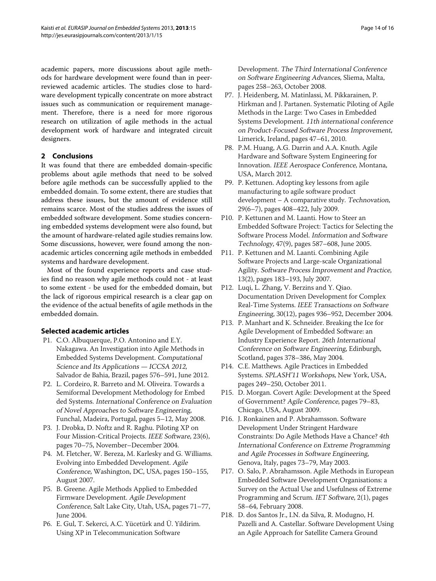academic papers, more discussions about agile methods for hardware development were found than in peerreviewed academic articles. The studies close to hardware development typically concentrate on more abstract issues such as communication or requirement management. Therefore, there is a need for more rigorous research on utilization of agile methods in the actual development work of hardware and integrated circuit designers.

# <span id="page-13-0"></span>**2 Conclusions**

It was found that there are embedded domain-specific problems about agile methods that need to be solved before agile methods can be successfully applied to the embedded domain. To some extent, there are studies that address these issues, but the amount of evidence still remains scarce. Most of the studies address the issues of embedded software development. Some studies concerning embedded systems development were also found, but the amount of hardware-related agile studies remains low. Some discussions, however, were found among the nonacademic articles concerning agile methods in embedded systems and hardware development.

Most of the found experience reports and case studies find no reason why agile methods could not - at least to some extent - be used for the embedded domain, but the lack of rigorous empirical research is a clear gap on the evidence of the actual benefits of agile methods in the embedded domain.

# **Selected academic articles**

- P1. C.O. Albuquerque, P.O. Antonino and E.Y. Nakagawa. An Investigation into Agile Methods in Embedded Systems Development. Computational Science and Its Applications — ICCSA <sup>2012</sup>, Salvador de Bahia, Brazil, pages 576–591, June 2012.
- P2. L. Cordeiro, R. Barreto and M. Oliveira. Towards a Semiformal Development Methodology for Embed ded Systems. International Conference on Evaluation of Novel Approaches to Software Engineering, Funchal, Madeira, Portugal, pages 5–12, May 2008.
- P3. J. Drobka, D. Noftz and R. Raghu. Piloting XP on Four Mission-Critical Projects. IEEE Software, 23(6), pages 70–75, November–December 2004.
- P4. M. Fletcher, W. Bereza, M. Karlesky and G. Williams. Evolving into Embedded Development. Agile Conference, Washington, DC, USA, pages 150–155, August 2007.
- P5. B. Greene. Agile Methods Applied to Embedded Firmware Development. Agile Development Conference, Salt Lake City, Utah, USA, pages 71–77, June 2004.
- P6. E. Gul, T. Sekerci, A.C. Yücetürk and Ü. Yildirim. Using XP in Telecommunication Software
- P7. J. Heidenberg, M. Matinlassi, M. Pikkarainen, P. Hirkman and J. Partanen. Systematic Piloting of Agile Methods in the Large: Two Cases in Embedded Systems Development. 11th international conference on Product-Focused Software Process Improvement, Limerick, Ireland, pages 47–61, 2010.
- P8. P.M. Huang, A.G. Darrin and A.A. Knuth. Agile Hardware and Software System Engineering for Innovation. IEEE Aerospace Conference, Montana, USA, March 2012.
- P9. P. Kettunen. Adopting key lessons from agile manufacturing to agile software product development – A comparative study. Technovation, 29(6–7), pages 408–422, July 2009.
- P10. P. Kettunen and M. Laanti. How to Steer an Embedded Software Project: Tactics for Selecting the Software Process Model. Information and Software Technology, 47(9), pages 587–608, June 2005.
- P11. P. Kettunen and M. Laanti. Combining Agile Software Projects and Large-scale Organizational Agility. Software Process Improvement and Practice, 13(2), pages 183–193, July 2007.
- P12. Luqi, L. Zhang, V. Berzins and Y. Qiao. Documentation Driven Development for Complex Real-Time Systems. IEEE Transactions on Software Engineering, 30(12), pages 936–952, December 2004.
- P13. P. Manhart and K. Schneider. Breaking the Ice for Agile Development of Embedded Software: an Industry Experience Report. 26th International Conference on Software Engineering, Edinburgh, Scotland, pages 378–386, May 2004.
- P14. C.E. Matthews. Agile Practices in Embedded Systems. SPLASH'11 Workshops, New York, USA, pages 249–250, October 2011.
- P15. D. Morgan. Covert Agile: Development at the Speed of Government? Agile Conference, pages 79–83, Chicago, USA, August 2009.
- P16. J. Ronkainen and P. Abrahamsson. Software Development Under Stringent Hardware Constraints: Do Agile Methods Have a Chance? 4th International Conference on Extreme Programming and Agile Processes in Software Engineering, Genova, Italy, pages 73–79, May 2003.
- P17. O. Salo, P. Abrahamsson. Agile Methods in European Embedded Software Development Organisations: a Survey on the Actual Use and Usefulness of Extreme Programming and Scrum. IET Software, 2(1), pages 58–64, February 2008.
- P18. D. dos Santos Jr., I.N. da Silva, R. Modugno, H. Pazelli and A. Castellar. Software Development Using an Agile Approach for Satellite Camera Ground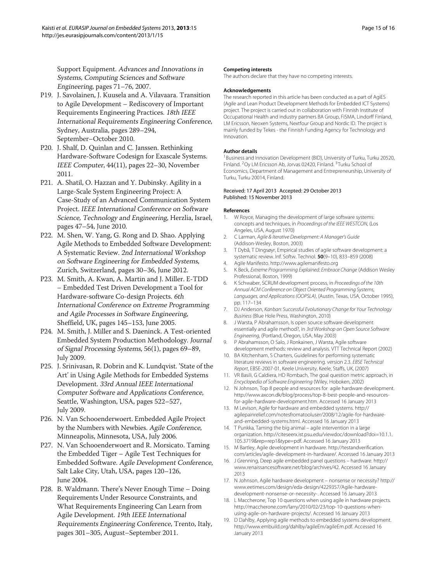Support Equipment. Advances and Innovations in Systems, Computing Sciences and Software Engineering, pages 71–76, 2007.

- P19. J. Savolainen, J. Kuusela and A. Vilavaara. Transition to Agile Development – Rediscovery of Important Requirements Engineering Practices. 18th IEEE International Requirements Engineering Conference, Sydney, Australia, pages 289–294, September–October 2010.
- P20. J. Shalf, D. Quinlan and C. Janssen. Rethinking Hardware-Software Codesign for Exascale Systems. IEEE Computer, 44(11), pages 22–30, November 2011.
- P21. A. Shatil, O. Hazzan and Y. Dubinsky. Agility in a Large-Scale System Engineering Project: A Case-Study of an Advanced Communication System Project. IEEE International Conference on Software Science, Technology and Engineering, Herzlia, Israel, pages 47–54, June 2010.
- P22. M. Shen, W. Yang, G. Rong and D. Shao. Applying Agile Methods to Embedded Software Development: A Systematic Review. 2nd International Workshop on Software Engineering for Embedded Systems, Zurich, Switzerland, pages 30–36, June 2012.
- P23. M. Smith, A. Kwan, A. Martin and J. Miller. E-TDD – Embedded Test Driven Development a Tool for Hardware-software Co-design Projects. 6th International Conference on Extreme Programming and Agile Processes in Software Engineering, Sheffield, UK, pages 145–153, June 2005.
- P24. M. Smith, J. Miller and S. Daeninck. A Test-oriented Embedded System Production Methodology. Journal of Signal Processing Systems, 56(1), pages 69–89, July 2009.
- P25. J. Srinivasan, R. Dobrin and K. Lundqvist. 'State of the Art' in Using Agile Methods for Embedded Systems Development. 33rd Annual IEEE International Computer Software and Applications Conference, Seattle, Washington, USA, pages 522–527, July 2009.
- P26. N. Van Schooenderwoert. Embedded Agile Project by the Numbers with Newbies. Agile Conference, Minneapolis, Minnesota, USA, July 2006.
- P27. N. Van Schooenderwoert and R. Morsicato. Taming the Embedded Tiger – Agile Test Techniques for Embedded Software. Agile Development Conference, Salt Lake City, Utah, USA, pages 120–126, June 2004.
- P28. B. Waldmann. There's Never Enough Time Doing Requirements Under Resource Constraints, and What Requirements Engineering Can Learn from Agile Development. 19th IEEE International Requirements Engineering Conference, Trento, Italy, pages 301–305, August–September 2011.

#### **Competing interests**

The authors declare that they have no competing interests.

#### **Acknowledgements**

The research reported in this article has been conducted as a part of AgiES (Agile and Lean Product Development Methods for Embedded ICT Systems) project. The project is carried out in collaboration with Finnish Institute of Occupational Health and industry partners BA Group, FiSMA, Lindorff Finland, LM Ericsson, Neoxen Systems, Nextfour Group and Nordic ID. The project is mainly funded by Tekes - the Finnish Funding Agency for Technology and Innovation.

#### **Author details**

<sup>1</sup> Business and Innovation Development (BID), University of Turku, Turku 20520, Finland. 2Oy LM Ericsson Ab, Jorvas 02420, Finland. 3Turku School of Economics, Department of Management and Entrepreneurship, University of Turku, Turku 20014, Finland.

#### Received: 17 April 2013 Accepted: 29 October 2013 Published: 15 November 2013

#### **References**

- <span id="page-14-0"></span>1. W Royce, Managing the development of large software systems: concepts and techniques, in Proceedings of the IEEE WESTCON, (Los Angeles, USA, August 1970)
- <span id="page-14-1"></span>2. C Larman, Agile & Iterative Development: A Manager's Guide (Addison-Wesley, Boston, 2003)
- <span id="page-14-2"></span>3. T Dybå, T Dingsøyr, Empirical studies of agile software development: a systematic review. Inf. Softw. Technol. **50**(9–10), 833–859 (2008)
- <span id="page-14-4"></span><span id="page-14-3"></span>4. Agile Manifesto.<http://www.agilemanifesto.org> 5. K Beck, Extreme Programming Explained: Embrace Change (Addison Wesley Professional, Boston, 1999)
- <span id="page-14-5"></span>6. K Schwaber, SCRUM development process, in Proceedings of the 10th Annual ACM Conference on Object Oriented Programming Systems, Languages, and Applications (OOPSLA), (Austin, Texas, USA, October 1995), pp. 117–134
- <span id="page-14-6"></span>7. DJ Anderson, Kanban: Successful Evolutionary Change for Your Technology Business (Blue Hole Press, Washington, 2010)
- <span id="page-14-7"></span>8. J Warsta, P Abrahamsson, Is open source software development essentially and agile method?, in 3rd Workshop on Open Source Software Engineering, (Portland, Oregon, USA, May 2003)
- <span id="page-14-8"></span>9. P Abrahamsson, O Salo, J Ronkainen, J Warsta, Agile software development methods: review and analysis. VTT Technical Report (2002)
- <span id="page-14-9"></span>10. BA Kitchenham, S Charters, Guidelines for performing systematic literature reviews in software engineering. version 2.3. EBSE Technical Report, EBSE-2007-01, Keele University, Keele, Staffs, UK, (2007)
- <span id="page-14-10"></span>11. VR Basili, G Caldiera, HD Rombach, The goal question metric approach, in Encyclopedia of Software Engineering (Wiley, Hoboken, 2002)
- <span id="page-14-11"></span>12. N Johnson, Top 8 people and resources for agile hardware development. [http://www.axcon.dk/blog/process/top-8-best-people-and-resources](http://www.axcon.dk/blog/process/top-8-best-people-and-resources-for-agile-hardware-development.htm)[for-agile-hardware-development.htm.](http://www.axcon.dk/blog/process/top-8-best-people-and-resources-for-agile-hardware-development.htm) Accessed 16 January 2013
- <span id="page-14-12"></span>13. M Levison, Agile for hardware and embedded systems. [http://](http://agilepainrelief.com/notesfromatooluser/2008/12/agile-for-hardware-and-embedded-systems.html) [agilepainrelief.com/notesfromatooluser/2008/12/agile-for-hardware](http://agilepainrelief.com/notesfromatooluser/2008/12/agile-for-hardware-and-embedded-systems.html)[and-embedded-systems.html.](http://agilepainrelief.com/notesfromatooluser/2008/12/agile-for-hardware-and-embedded-systems.html) Accessed 16 January 2013
- <span id="page-14-13"></span>14. T Punkka, Taming the big animal – agile intervention in a large organization. [http://citeseerx.ist.psu.edu/viewdoc/download?doi=10.1.1.](http://citeseerx.ist.psu.edu/viewdoc/download?doi=10.1.1.105.3719&rep=rep1&type=pdf) [105.3719&rep=rep1&type=pdf.](http://citeseerx.ist.psu.edu/viewdoc/download?doi=10.1.1.105.3719&rep=rep1&type=pdf) Accessed 16 January 2013
- <span id="page-14-14"></span>15. M Bartley, Agile development in hardware. [http://testandverification.](http://testandverification.com/articles/agile-development-in-hardware/) [com/articles/agile-development-in-hardware/.](http://testandverification.com/articles/agile-development-in-hardware/) Accessed 16 January 2013
- <span id="page-14-18"></span>16. J Grenning, Deep agile embedded panel questions – hardware. [http://](http://www.renaissancesoftware.net/blog/archives/42) [www.renaissancesoftware.net/blog/archives/42.](http://www.renaissancesoftware.net/blog/archives/42) Accessed 16 January 2013
- <span id="page-14-16"></span>17. N Johnson, Agile hardware development – nonsense or necessity? [http://](http://www.eetimes.com/design/eda-design/4229357/Agile-hardware-development-nonsense-or-necessity-) [www.eetimes.com/design/eda-design/4229357/Agile-hardware](http://www.eetimes.com/design/eda-design/4229357/Agile-hardware-development-nonsense-or-necessity-)[development-nonsense-or-necessity-.](http://www.eetimes.com/design/eda-design/4229357/Agile-hardware-development-nonsense-or-necessity-) Accessed 16 January 2013
- <span id="page-14-15"></span>18. L Maccherone, Top 10 questions when using agile in hardware projects. [http://maccherone.com/larry/2010/02/23/top-10-questions-when](http://maccherone.com/larry/2010/02/23/top-10-questions-when-using-agile-on-hardware-projects/)[using-agile-on-hardware-projects/.](http://maccherone.com/larry/2010/02/23/top-10-questions-when-using-agile-on-hardware-projects/) Accessed 16 January 2013
- <span id="page-14-17"></span>19. D Dahlby, Applying agile methods to embedded systems development. [http://www.embuild.org/dahlby/agileEm/agileEm.pdf.](http://www.embuild.org/dahlby/agileEm/agileEm.pdf) Accessed 16 January 2013